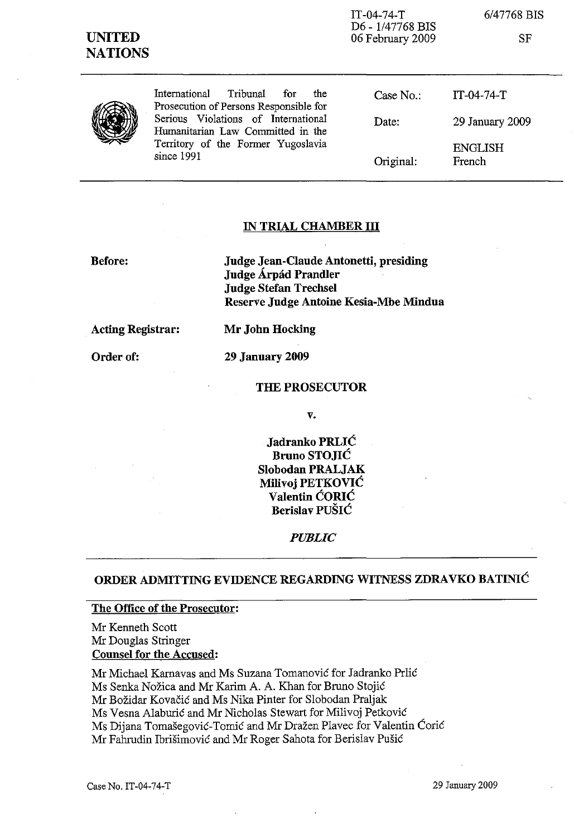| <b>UNITED</b><br><b>NATIONS</b> |                                                                                                                              | $IT-04-74-T$<br>D6 - 1/47768 BIS<br>06 February 2009 | 6/47768 BIS<br>SF        |
|---------------------------------|------------------------------------------------------------------------------------------------------------------------------|------------------------------------------------------|--------------------------|
|                                 | International<br>Tribunal<br>the<br>for<br>Prosecution of Persons Responsible for                                            | Case No.                                             | $IT-04-74-T$             |
|                                 | Serious Violations of International<br>Humanitarian Law Committed in the<br>Territory of the Former Yugoslavia<br>since 1991 | Date:                                                | 29 January 2009          |
|                                 |                                                                                                                              | Original:                                            | <b>ENGLISH</b><br>French |

## **IN TRIAL CHAMBER III**

**Before:**

**Judge Jean-Claude Antonetti, presiding Judge Arpad Prandler Judge Stefan Trechsel Reserve Judge Antoine Kesia-Mbe Mindua**

**Acting Registrar:**

**Order of:**

**Mr John Hocking 29 January 2009**

**THE PROSECUTOR**

**v.**

**Jadranko PRLIC Bruno STOJIC Slobodan PRALJAK Milivoj PETKOVIC Valentin CORIC Berislav PUSIC**

*PUBLIC*

# **ORDER ADMITTING EVIDENCE REGARDING WITNESS ZDRAVKO BATINIC**

#### **The Office of the Prosecutor:**

Mr Kenneth Scott Mr Douglas Stringer **Counsel for the Accused:**

Mr Michael Karnavas and Ms Suzana Tomanovic for Jadranko Prlic Ms Senka Nožica and Mr Karim A. A. Khan for Bruno Stojić Mr Bozidar Kovacic and Ms Nika Pinter for Slobodan Praljak Ms Vesna Alaburic and Mr Nicholas Stewart for Milivoj Petkovic Ms Dijana Tomašegović-Tomić and Mr Dražen Plavec for Valentin Ćorić Mr Fahrudin Ibrisimovic and Mr Roger Sahota for Berislav Pusic

Case No. IT-04-74-T 29 January 2009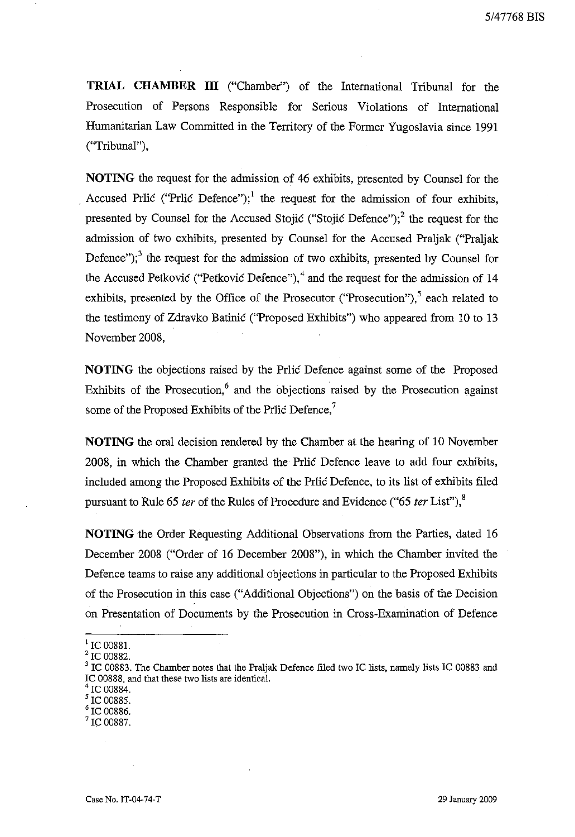**TRIAL CHAMBER III** ("Chamber") of the International Tribunal for the Prosecution of Persons Responsible for Serious Violations of International Humanitarian Law Committed in the Territory of the Former Yugoslavia since 1991 ("Tribunal"),

**NOTING** the request for the admission of 46 exhibits, presented by Counsel for the Accused Prlic ("Prlic Defence");<sup>1</sup> the request for the admission of four exhibits, presented by Counsel for the Accused Stojic ("Stojic Defence");  $2$  the request for the admission of two exhibits, presented by Counsel for the Accused Praljak ("Praljak Defence");<sup>3</sup> the request for the admission of two exhibits, presented by Counsel for the Accused Petkovic ("Petkovic Defence"),<sup>4</sup> and the request for the admission of 14 exhibits, presented by the Office of the Prosecutor ("Prosecution") $<sup>5</sup>$  each related to</sup> the testimony of Zdravko Batinic ("Proposed Exhibits") who appeared from 10 to 13 November 2008,

**NOTING** the objections raised by the Prlic Defence against some of the Proposed Exhibits of the Prosecution, $6$  and the objections raised by the Prosecution against some of the Proposed Exhibits of the Prlic Defence.'

**NOTING** the oral decision rendered by the Chamber at the hearing of 10 November 2008, in which the Chamber granted the Prlic Defence leave to add four exhibits, included among the Proposed Exhibits of the Prlic Defence, to its list of exhibits filed pursuant to Rule 65 *ter* of the Rules of Procedure and Evidence ("65 *ter* List"),<sup>8</sup>

**NOTING** the Order Requesting Additional Observations from the Parties, dated 16 December 2008 ("Order of 16 December 2008"), in which the Chamber invited the Defence teams to raise any additional objections in particular to the Proposed Exhibits of the Prosecution in this case ("Additional Objections") on the basis of the Decision on Presentation of Documents by the Prosecution in Cross-Examination of Defence

 $^{1}$  IC 00881.

<sup>2</sup> IC 00882.

<sup>&</sup>lt;sup>3</sup> IC 00883. The Chamber notes that the Praljak Defence filed two IC lists, namely lists IC 00883 and IC 00888, and that these two lists are identical.

IC 00884.

 $^5$  IC 00885.

 $\overline{6}$  IC 00886.

IC 00887.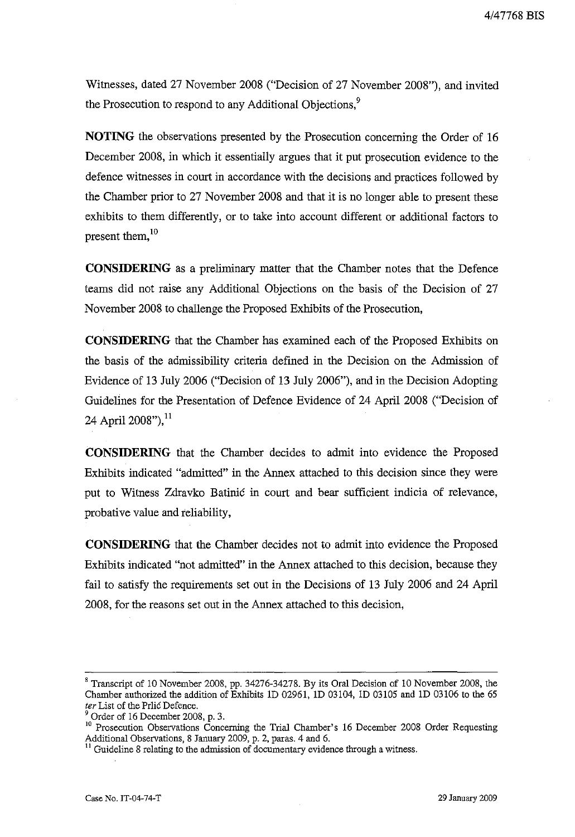Witnesses, dated 27 November 2008 ("Decision of 27 November 2008"), and invited the Prosecution to respond to any Additional Objections,<sup>9</sup>

**NOTING** the observations presented by the Prosecution concerning the Order of 16 December 2008, in which it essentially argues that it put prosecution evidence to the defence witnesses in court in accordance with the decisions and practices followed by the Chamber prior to 27 November 2008 and that it is no longer able to present these exhibits to them differently, or to take into account different or additional factors to present them,<sup>10</sup>

**CONSIDERING** as a preliminary matter that the Chamber notes that the Defence teams did not raise any Additional Objections on the basis of the Decision of 27 November 2008 to challenge the Proposed Exhibits of the Prosecution,

**CONSIDERING** that the Chamber has examined each of the Proposed Exhibits on the basis of the admissibility criteria defined in the Decision on the Admission of Evidence of 13 July 2006 ("Decision of 13 July 2006"), and in the Decision Adopting Guidelines for the Presentation of Defence Evidence of 24 April 2008 ("Decision of 24 April 2008"),  $^{11}$ 

**CONSIDERING** that the Chamber decides to admit into evidence the Proposed Exhibits indicated "admitted" in the Annex attached to this decision since they were put to Witness Zdravko Batinic in court and bear sufficient indicia of relevance, probative value and reliability,

**CONSIDERING** that the Chamber decides not to admit into evidence the Proposed Exhibits indicated "not admitted" in the Annex attached to this decision, because they fail to satisfy the requirements set out in the Decisions of 13 July 2006 and 24 April 2008, for the reasons set out in the Annex attached to this decision,

<sup>8</sup> Transcript of 10 November 2008, pp. 34276-34278. By its Oral Decision of 10 November 2008, the Chamber authorized the addition of Exhibits 10 02961, 10 03104, 10 03105 and 10 03106 to the 65 *ter* List of the Prlic Defence.

Order of 16 December 2008, p. 3.

<sup>&</sup>lt;sup>10</sup> Prosecution Observations Concerning the Trial Chamber's 16 December 2008 Order Requesting Additional Observations, 8 January 2009, p. 2, paras. 4 and 6.

 $11$  Guideline 8 relating to the admission of documentary evidence through a witness.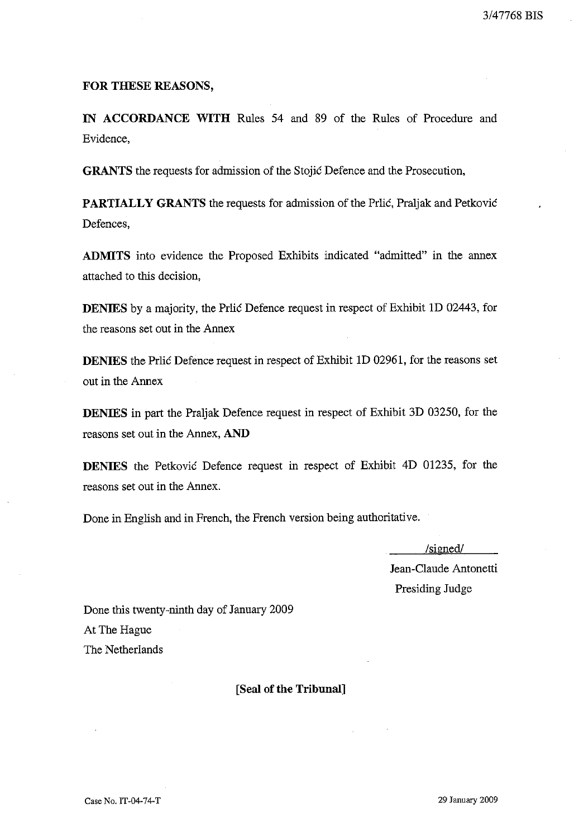### FOR THESE REASONS,

IN ACCORDANCE WITH Rules 54 and 89 of the Rules of Procedure and Evidence,

GRANTS the requests for admission of the Stojic Defence and the Prosecution,

PARTIALLY GRANTS the requests for admission of the Prlic, Praljak and Petkovic Defences,

ADMITS into evidence the Proposed Exhibits indicated "admitted" in the annex attached to this decision,

DENIES by a majority, the Prlic Defence request in respect of Exhibit ID 02443, for the reasons set out in the Annex

DENIES the Prlic Defence request in respect of Exhibit ID 02961, for the reasons set out in the Annex

DENIES in part the Praljak Defence request in respect of Exhibit 3D 03250, for the reasons set out in the Annex, AND

DENIES the Petkovic Defence request in respect of Exhibit 4D 01235, for the reasons set out in the Annex.

Done in English and in French, the French version being authoritative.

/signed/ Jean-Claude Antonetti Presiding Judge

Done this twenty-ninth day of January 2009 At The Hague The Netherlands

[Seal of the Tribunal]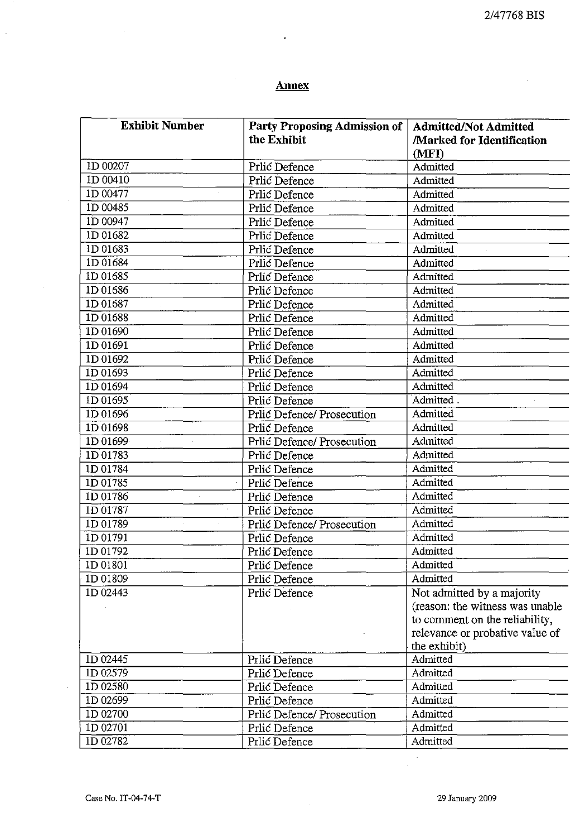# **Annex**

 $\cdot$ 

| <b>Exhibit Number</b> | <b>Party Proposing Admission of</b> | <b>Admitted/Not Admitted</b>     |
|-----------------------|-------------------------------------|----------------------------------|
|                       | the Exhibit                         | <b>Marked for Identification</b> |
|                       |                                     | (MFI)                            |
| 1D 00207              | Prlić Defence                       | Admitted                         |
| 1D 00410              | Prlić Defence                       | Admitted                         |
| 1D 00477              | Prlić Defence                       | Admitted                         |
| 1D 00485              | Prlić Defence                       | Admitted                         |
| 1D 00947              | Prlić Defence                       | Admitted                         |
| 1D 01682              | Prlić Defence                       | Admitted                         |
| ID 01683              | Prlić Defence                       | Admitted                         |
| 1D 01684              | Prlić Defence                       | Admitted                         |
| 1D 01685              | Prlić Defence                       | Admitted                         |
| 1D 01686              | Prlić Defence                       | Admitted                         |
| 1D 01687              | Prlić Defence                       | Admitted                         |
| 1D 01688              | Prlić Defence                       | Admitted                         |
| 1D 01690              | Prlić Defence                       | Admitted                         |
| 1D 01691              | Prlić Defence                       | Admitted                         |
| 1D 01692              | Prlić Defence                       | Admitted                         |
| 1D 01693              | Prlić Defence                       | Admitted                         |
| 1D 01694              | Prlić Defence                       | Admitted                         |
| 1D 01695              | Prlić Defence                       | Admitted.                        |
| 1D 01696              | Prlić Defence/ Prosecution          | Admitted                         |
| 1D 01698              | Prlić Defence                       | Admitted                         |
| 1D 01699              | Prlić Defence/ Prosecution          | Admitted                         |
| ID 01783              | Prlić Defence                       | Admitted                         |
| 1D 01784              | Prlić Defence                       | Admitted                         |
| 1D 01785              | Prlić Defence                       | Admitted                         |
| 1D 01786              | Prlić Defence                       | Admitted                         |
| 1D 01787              | Prlić Defence                       | Admitted                         |
| 1D 01789              | Prlić Defence/ Prosecution          | Admitted                         |
| ID 01791              | Prlić Defence                       | Admitted                         |
| ID 01792              | Prlić Defence                       | Admitted                         |
| 1D 01801              | Prlić Defence                       | Admitted                         |
| 1D 01809              | Prlić Defence                       | Admitted                         |
| 1D 02443              | Prlić Defence                       | Not admitted by a majority       |
|                       |                                     | (reason: the witness was unable  |
|                       |                                     | to comment on the reliability,   |
|                       |                                     | relevance or probative value of  |
|                       |                                     | the exhibit)                     |
| 1D 02445              | Prlić Defence                       | Admitted                         |
| 1D 02579              | Prlić Defence                       | Admitted                         |
| 1D 02580              | Prlić Defence                       | Admitted                         |
| 1D 02699              | Prlić Defence                       | Admitted                         |
| 1D 02700              | Prlić Defence/ Prosecution          | Admitted                         |
| 1D 02701              | Prlić Defence                       | Admitted                         |
| 1D 02782              | Prlić Defence                       | Admitted                         |

 $\cdot$ 

 $\bar{\bar{z}}$ 

 $\sim$  .